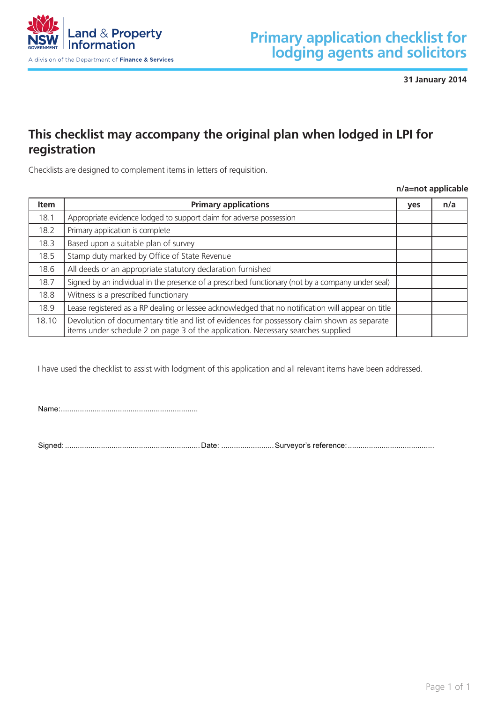

**31 January 2014 Item Service works plan / prescribed diagram yes e n/a**

# **This checklist may accompany the original plan when lodged in LPI for registration** 13.6 Plan(s) comply with clause 28 *Community Land Development Regulation* is checklist may accompany the original plan wile

Checklists are designed to complement items in letters of requisition.

**n/a=not applicable Item Accessway plan yes e n/a**

| <b>Item</b> | <b>Primary applications</b>                                                                                                                                                      | <b>yes</b> | n/a |
|-------------|----------------------------------------------------------------------------------------------------------------------------------------------------------------------------------|------------|-----|
| 18.1        | Appropriate evidence lodged to support claim for adverse possession                                                                                                              |            |     |
| 18.2        | Primary application is complete                                                                                                                                                  |            |     |
| 18.3        | Based upon a suitable plan of survey                                                                                                                                             |            |     |
| 18.5        | Stamp duty marked by Office of State Revenue                                                                                                                                     |            |     |
| 18.6        | All deeds or an appropriate statutory declaration furnished                                                                                                                      |            |     |
| 18.7        | Signed by an individual in the presence of a prescribed functionary (not by a company under seal)                                                                                |            |     |
| 18.8        | Witness is a prescribed functionary                                                                                                                                              |            |     |
| 18.9        | Lease registered as a RP dealing or lessee acknowledged that no notification will appear on title                                                                                |            |     |
| 18.10       | Devolution of documentary title and list of evidences for possessory claim shown as separate<br>items under schedule 2 on page 3 of the application. Necessary searches supplied |            |     |

I have used the checklist to assist with lodgment of this application and all relevant items have been addressed.

Name:.................................................................

Signed: ................................................................Date: .........................Surveyor's reference:.........................................